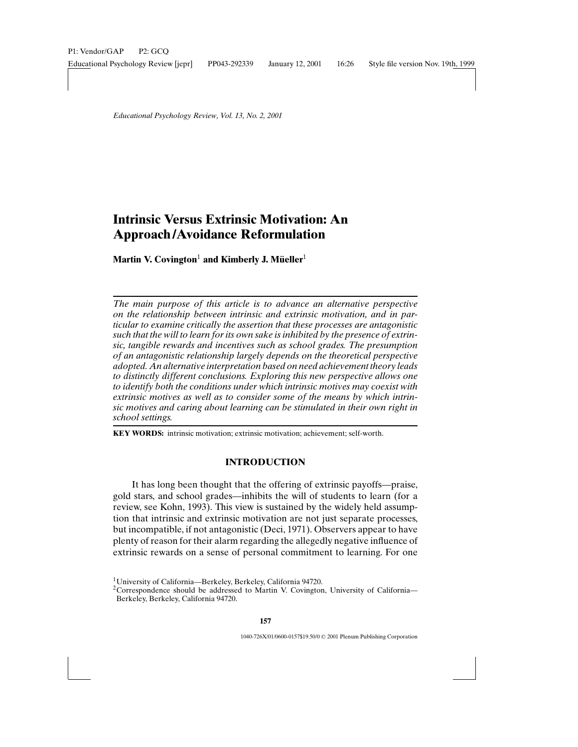# **Intrinsic Versus Extrinsic Motivation: An Approach /Avoidance Reformulation**

**Martin V. Covington<sup>1</sup> and Kimberly J. Müeller<sup>1</sup>** 

*The main purpose of this article is to advance an alternative perspective on the relationship between intrinsic and extrinsic motivation, and in particular to examine critically the assertion that these processes are antagonistic such that the will to learn for its own sake is inhibited by the presence of extrinsic, tangible rewards and incentives such as school grades. The presumption of an antagonistic relationship largely depends on the theoretical perspective adopted. An alternative interpretation based on need achievement theory leads to distinctly different conclusions. Exploring this new perspective allows one to identify both the conditions under which intrinsic motives may coexist with extrinsic motives as well as to consider some of the means by which intrinsic motives and caring about learning can be stimulated in their own right in school settings.*

**KEY WORDS:** intrinsic motivation; extrinsic motivation; achievement; self-worth.

# **INTRODUCTION**

It has long been thought that the offering of extrinsic payoffs—praise, gold stars, and school grades—inhibits the will of students to learn (for a review, see Kohn, 1993). This view is sustained by the widely held assumption that intrinsic and extrinsic motivation are not just separate processes, but incompatible, if not antagonistic (Deci, 1971). Observers appear to have plenty of reason for their alarm regarding the allegedly negative influence of extrinsic rewards on a sense of personal commitment to learning. For one

<sup>&</sup>lt;sup>1</sup>University of California—Berkeley, Berkeley, California 94720.

<sup>&</sup>lt;sup>2</sup>Correspondence should be addressed to Martin V. Covington, University of California— Berkeley, Berkeley, California 94720.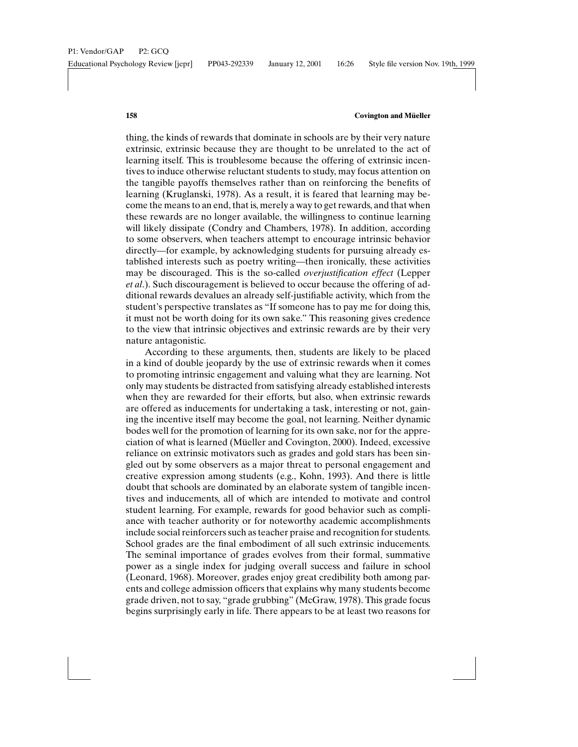thing, the kinds of rewards that dominate in schools are by their very nature extrinsic, extrinsic because they are thought to be unrelated to the act of learning itself. This is troublesome because the offering of extrinsic incentives to induce otherwise reluctant students to study, may focus attention on the tangible payoffs themselves rather than on reinforcing the benefits of learning (Kruglanski, 1978). As a result, it is feared that learning may become the means to an end, that is, merely a way to get rewards, and that when these rewards are no longer available, the willingness to continue learning will likely dissipate (Condry and Chambers, 1978). In addition, according to some observers, when teachers attempt to encourage intrinsic behavior directly—for example, by acknowledging students for pursuing already established interests such as poetry writing—then ironically, these activities may be discouraged. This is the so-called *overjustification effect* (Lepper *et al*.). Such discouragement is believed to occur because the offering of additional rewards devalues an already self-justifiable activity, which from the student's perspective translates as "If someone has to pay me for doing this, it must not be worth doing for its own sake." This reasoning gives credence to the view that intrinsic objectives and extrinsic rewards are by their very nature antagonistic.

According to these arguments, then, students are likely to be placed in a kind of double jeopardy by the use of extrinsic rewards when it comes to promoting intrinsic engagement and valuing what they are learning. Not only may students be distracted from satisfying already established interests when they are rewarded for their efforts, but also, when extrinsic rewards are offered as inducements for undertaking a task, interesting or not, gaining the incentive itself may become the goal, not learning. Neither dynamic bodes well for the promotion of learning for its own sake, nor for the appreciation of what is learned (Müeller and Covington, 2000). Indeed, excessive reliance on extrinsic motivators such as grades and gold stars has been singled out by some observers as a major threat to personal engagement and creative expression among students (e.g., Kohn, 1993). And there is little doubt that schools are dominated by an elaborate system of tangible incentives and inducements, all of which are intended to motivate and control student learning. For example, rewards for good behavior such as compliance with teacher authority or for noteworthy academic accomplishments include social reinforcers such as teacher praise and recognition for students. School grades are the final embodiment of all such extrinsic inducements. The seminal importance of grades evolves from their formal, summative power as a single index for judging overall success and failure in school (Leonard, 1968). Moreover, grades enjoy great credibility both among parents and college admission officers that explains why many students become grade driven, not to say, "grade grubbing" (McGraw, 1978). This grade focus begins surprisingly early in life. There appears to be at least two reasons for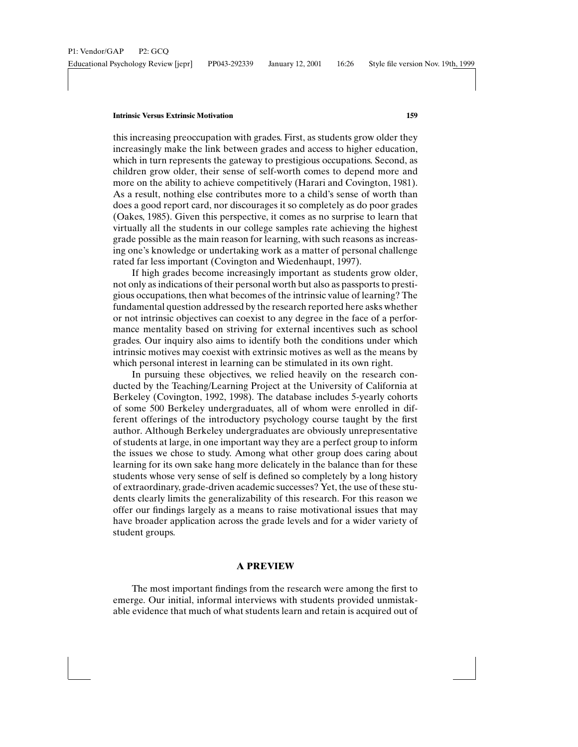this increasing preoccupation with grades. First, as students grow older they increasingly make the link between grades and access to higher education, which in turn represents the gateway to prestigious occupations. Second, as children grow older, their sense of self-worth comes to depend more and more on the ability to achieve competitively (Harari and Covington, 1981). As a result, nothing else contributes more to a child's sense of worth than does a good report card, nor discourages it so completely as do poor grades (Oakes, 1985). Given this perspective, it comes as no surprise to learn that virtually all the students in our college samples rate achieving the highest grade possible as the main reason for learning, with such reasons as increasing one's knowledge or undertaking work as a matter of personal challenge rated far less important (Covington and Wiedenhaupt, 1997).

If high grades become increasingly important as students grow older, not only as indications of their personal worth but also as passports to prestigious occupations, then what becomes of the intrinsic value of learning? The fundamental question addressed by the research reported here asks whether or not intrinsic objectives can coexist to any degree in the face of a performance mentality based on striving for external incentives such as school grades. Our inquiry also aims to identify both the conditions under which intrinsic motives may coexist with extrinsic motives as well as the means by which personal interest in learning can be stimulated in its own right.

In pursuing these objectives, we relied heavily on the research conducted by the Teaching/Learning Project at the University of California at Berkeley (Covington, 1992, 1998). The database includes 5-yearly cohorts of some 500 Berkeley undergraduates, all of whom were enrolled in different offerings of the introductory psychology course taught by the first author. Although Berkeley undergraduates are obviously unrepresentative of students at large, in one important way they are a perfect group to inform the issues we chose to study. Among what other group does caring about learning for its own sake hang more delicately in the balance than for these students whose very sense of self is defined so completely by a long history of extraordinary, grade-driven academic successes? Yet, the use of these students clearly limits the generalizability of this research. For this reason we offer our findings largely as a means to raise motivational issues that may have broader application across the grade levels and for a wider variety of student groups.

# **A PREVIEW**

The most important findings from the research were among the first to emerge. Our initial, informal interviews with students provided unmistakable evidence that much of what students learn and retain is acquired out of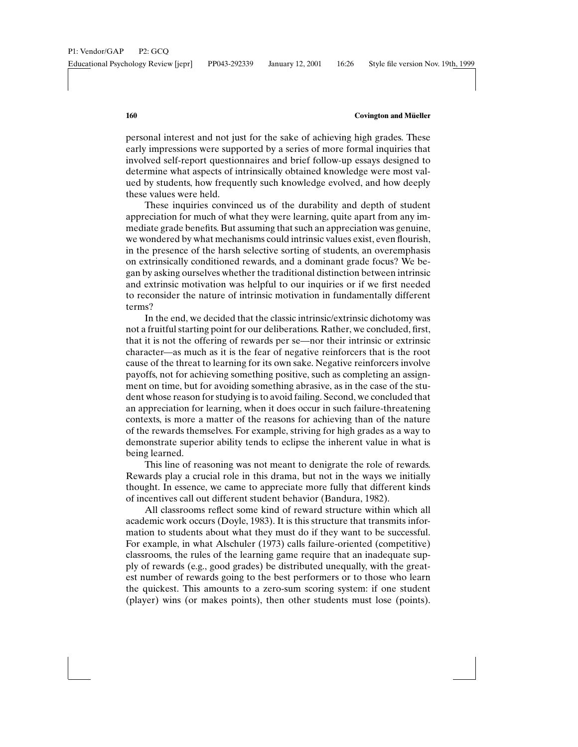personal interest and not just for the sake of achieving high grades. These early impressions were supported by a series of more formal inquiries that involved self-report questionnaires and brief follow-up essays designed to determine what aspects of intrinsically obtained knowledge were most valued by students, how frequently such knowledge evolved, and how deeply these values were held.

These inquiries convinced us of the durability and depth of student appreciation for much of what they were learning, quite apart from any immediate grade benefits. But assuming that such an appreciation was genuine, we wondered by what mechanisms could intrinsic values exist, even flourish, in the presence of the harsh selective sorting of students, an overemphasis on extrinsically conditioned rewards, and a dominant grade focus? We began by asking ourselves whether the traditional distinction between intrinsic and extrinsic motivation was helpful to our inquiries or if we first needed to reconsider the nature of intrinsic motivation in fundamentally different terms?

In the end, we decided that the classic intrinsic/extrinsic dichotomy was not a fruitful starting point for our deliberations. Rather, we concluded, first, that it is not the offering of rewards per se—nor their intrinsic or extrinsic character—as much as it is the fear of negative reinforcers that is the root cause of the threat to learning for its own sake. Negative reinforcers involve payoffs, not for achieving something positive, such as completing an assignment on time, but for avoiding something abrasive, as in the case of the student whose reason for studying is to avoid failing. Second, we concluded that an appreciation for learning, when it does occur in such failure-threatening contexts, is more a matter of the reasons for achieving than of the nature of the rewards themselves. For example, striving for high grades as a way to demonstrate superior ability tends to eclipse the inherent value in what is being learned.

This line of reasoning was not meant to denigrate the role of rewards. Rewards play a crucial role in this drama, but not in the ways we initially thought. In essence, we came to appreciate more fully that different kinds of incentives call out different student behavior (Bandura, 1982).

All classrooms reflect some kind of reward structure within which all academic work occurs (Doyle, 1983). It is this structure that transmits information to students about what they must do if they want to be successful. For example, in what Alschuler (1973) calls failure-oriented (competitive) classrooms, the rules of the learning game require that an inadequate supply of rewards (e.g., good grades) be distributed unequally, with the greatest number of rewards going to the best performers or to those who learn the quickest. This amounts to a zero-sum scoring system: if one student (player) wins (or makes points), then other students must lose (points).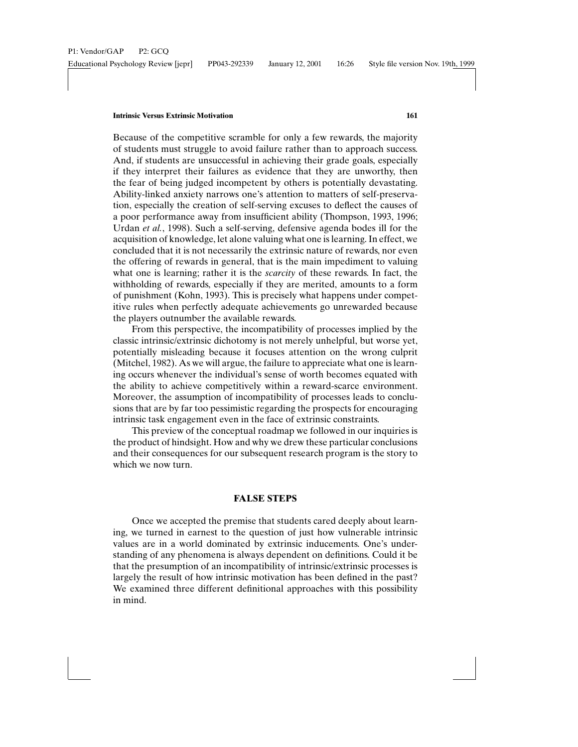Because of the competitive scramble for only a few rewards, the majority of students must struggle to avoid failure rather than to approach success. And, if students are unsuccessful in achieving their grade goals, especially if they interpret their failures as evidence that they are unworthy, then the fear of being judged incompetent by others is potentially devastating. Ability-linked anxiety narrows one's attention to matters of self-preservation, especially the creation of self-serving excuses to deflect the causes of a poor performance away from insufficient ability (Thompson, 1993, 1996; Urdan *et al.*, 1998). Such a self-serving, defensive agenda bodes ill for the acquisition of knowledge, let alone valuing what one is learning. In effect, we concluded that it is not necessarily the extrinsic nature of rewards, nor even the offering of rewards in general, that is the main impediment to valuing what one is learning; rather it is the *scarcity* of these rewards. In fact, the withholding of rewards, especially if they are merited, amounts to a form of punishment (Kohn, 1993). This is precisely what happens under competitive rules when perfectly adequate achievements go unrewarded because the players outnumber the available rewards.

From this perspective, the incompatibility of processes implied by the classic intrinsic/extrinsic dichotomy is not merely unhelpful, but worse yet, potentially misleading because it focuses attention on the wrong culprit (Mitchel, 1982). As we will argue, the failure to appreciate what one is learning occurs whenever the individual's sense of worth becomes equated with the ability to achieve competitively within a reward-scarce environment. Moreover, the assumption of incompatibility of processes leads to conclusions that are by far too pessimistic regarding the prospects for encouraging intrinsic task engagement even in the face of extrinsic constraints.

This preview of the conceptual roadmap we followed in our inquiries is the product of hindsight. How and why we drew these particular conclusions and their consequences for our subsequent research program is the story to which we now turn.

# **FALSE STEPS**

Once we accepted the premise that students cared deeply about learning, we turned in earnest to the question of just how vulnerable intrinsic values are in a world dominated by extrinsic inducements. One's understanding of any phenomena is always dependent on definitions. Could it be that the presumption of an incompatibility of intrinsic/extrinsic processes is largely the result of how intrinsic motivation has been defined in the past? We examined three different definitional approaches with this possibility in mind.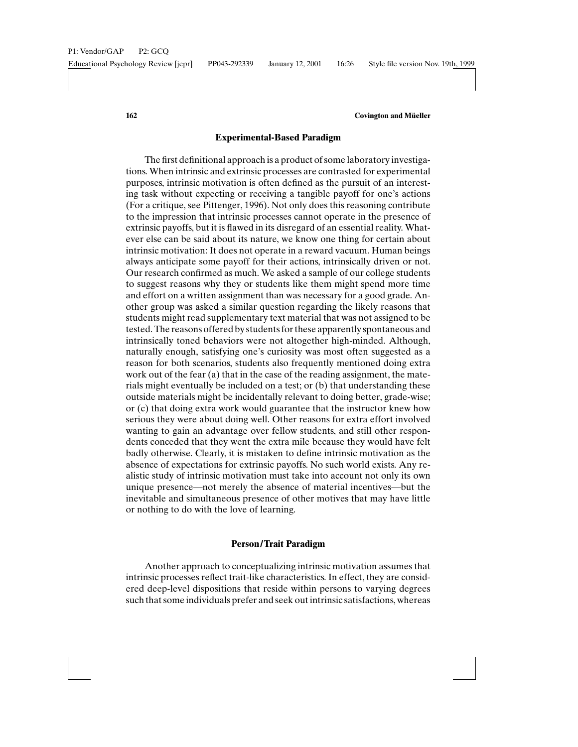### **Experimental-Based Paradigm**

The first definitional approach is a product of some laboratory investigations. When intrinsic and extrinsic processes are contrasted for experimental purposes, intrinsic motivation is often defined as the pursuit of an interesting task without expecting or receiving a tangible payoff for one's actions (For a critique, see Pittenger, 1996). Not only does this reasoning contribute to the impression that intrinsic processes cannot operate in the presence of extrinsic payoffs, but it is flawed in its disregard of an essential reality. Whatever else can be said about its nature, we know one thing for certain about intrinsic motivation: It does not operate in a reward vacuum. Human beings always anticipate some payoff for their actions, intrinsically driven or not. Our research confirmed as much. We asked a sample of our college students to suggest reasons why they or students like them might spend more time and effort on a written assignment than was necessary for a good grade. Another group was asked a similar question regarding the likely reasons that students might read supplementary text material that was not assigned to be tested. The reasons offered by students for these apparently spontaneous and intrinsically toned behaviors were not altogether high-minded. Although, naturally enough, satisfying one's curiosity was most often suggested as a reason for both scenarios, students also frequently mentioned doing extra work out of the fear (a) that in the case of the reading assignment, the materials might eventually be included on a test; or (b) that understanding these outside materials might be incidentally relevant to doing better, grade-wise; or (c) that doing extra work would guarantee that the instructor knew how serious they were about doing well. Other reasons for extra effort involved wanting to gain an advantage over fellow students, and still other respondents conceded that they went the extra mile because they would have felt badly otherwise. Clearly, it is mistaken to define intrinsic motivation as the absence of expectations for extrinsic payoffs. No such world exists. Any realistic study of intrinsic motivation must take into account not only its own unique presence—not merely the absence of material incentives—but the inevitable and simultaneous presence of other motives that may have little or nothing to do with the love of learning.

# **Person/Trait Paradigm**

Another approach to conceptualizing intrinsic motivation assumes that intrinsic processes reflect trait-like characteristics. In effect, they are considered deep-level dispositions that reside within persons to varying degrees such that some individuals prefer and seek out intrinsic satisfactions, whereas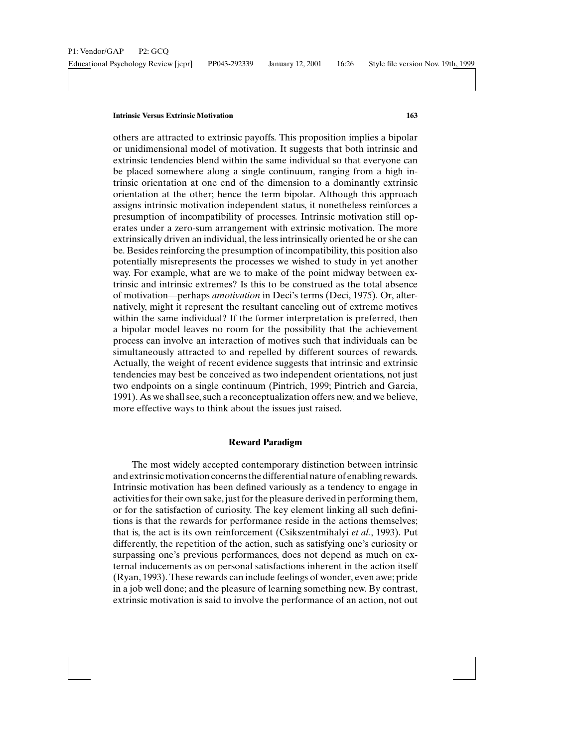others are attracted to extrinsic payoffs. This proposition implies a bipolar or unidimensional model of motivation. It suggests that both intrinsic and extrinsic tendencies blend within the same individual so that everyone can be placed somewhere along a single continuum, ranging from a high intrinsic orientation at one end of the dimension to a dominantly extrinsic orientation at the other; hence the term bipolar. Although this approach assigns intrinsic motivation independent status, it nonetheless reinforces a presumption of incompatibility of processes. Intrinsic motivation still operates under a zero-sum arrangement with extrinsic motivation. The more extrinsically driven an individual, the less intrinsically oriented he or she can be. Besides reinforcing the presumption of incompatibility, this position also potentially misrepresents the processes we wished to study in yet another way. For example, what are we to make of the point midway between extrinsic and intrinsic extremes? Is this to be construed as the total absence of motivation—perhaps *amotivation* in Deci's terms (Deci, 1975). Or, alternatively, might it represent the resultant canceling out of extreme motives within the same individual? If the former interpretation is preferred, then a bipolar model leaves no room for the possibility that the achievement process can involve an interaction of motives such that individuals can be simultaneously attracted to and repelled by different sources of rewards. Actually, the weight of recent evidence suggests that intrinsic and extrinsic tendencies may best be conceived as two independent orientations, not just two endpoints on a single continuum (Pintrich, 1999; Pintrich and Garcia, 1991). As we shall see, such a reconceptualization offers new, and we believe, more effective ways to think about the issues just raised.

# **Reward Paradigm**

The most widely accepted contemporary distinction between intrinsic and extrinsic motivation concerns the differential nature of enabling rewards. Intrinsic motivation has been defined variously as a tendency to engage in activities for their own sake, just for the pleasure derived in performing them, or for the satisfaction of curiosity. The key element linking all such definitions is that the rewards for performance reside in the actions themselves; that is, the act is its own reinforcement (Csikszentmihalyi *et al.*, 1993). Put differently, the repetition of the action, such as satisfying one's curiosity or surpassing one's previous performances, does not depend as much on external inducements as on personal satisfactions inherent in the action itself (Ryan, 1993). These rewards can include feelings of wonder, even awe; pride in a job well done; and the pleasure of learning something new. By contrast, extrinsic motivation is said to involve the performance of an action, not out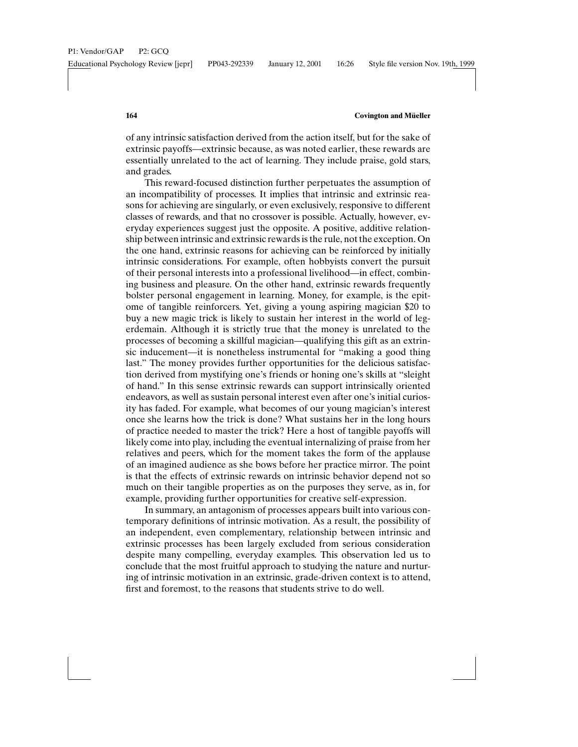of any intrinsic satisfaction derived from the action itself, but for the sake of extrinsic payoffs—extrinsic because, as was noted earlier, these rewards are essentially unrelated to the act of learning. They include praise, gold stars, and grades.

This reward-focused distinction further perpetuates the assumption of an incompatibility of processes. It implies that intrinsic and extrinsic reasons for achieving are singularly, or even exclusively, responsive to different classes of rewards, and that no crossover is possible. Actually, however, everyday experiences suggest just the opposite. A positive, additive relationship between intrinsic and extrinsic rewards is the rule, not the exception. On the one hand, extrinsic reasons for achieving can be reinforced by initially intrinsic considerations. For example, often hobbyists convert the pursuit of their personal interests into a professional livelihood—in effect, combining business and pleasure. On the other hand, extrinsic rewards frequently bolster personal engagement in learning. Money, for example, is the epitome of tangible reinforcers. Yet, giving a young aspiring magician \$20 to buy a new magic trick is likely to sustain her interest in the world of legerdemain. Although it is strictly true that the money is unrelated to the processes of becoming a skillful magician—qualifying this gift as an extrinsic inducement—it is nonetheless instrumental for "making a good thing last." The money provides further opportunities for the delicious satisfaction derived from mystifying one's friends or honing one's skills at "sleight of hand." In this sense extrinsic rewards can support intrinsically oriented endeavors, as well as sustain personal interest even after one's initial curiosity has faded. For example, what becomes of our young magician's interest once she learns how the trick is done? What sustains her in the long hours of practice needed to master the trick? Here a host of tangible payoffs will likely come into play, including the eventual internalizing of praise from her relatives and peers, which for the moment takes the form of the applause of an imagined audience as she bows before her practice mirror. The point is that the effects of extrinsic rewards on intrinsic behavior depend not so much on their tangible properties as on the purposes they serve, as in, for example, providing further opportunities for creative self-expression.

In summary, an antagonism of processes appears built into various contemporary definitions of intrinsic motivation. As a result, the possibility of an independent, even complementary, relationship between intrinsic and extrinsic processes has been largely excluded from serious consideration despite many compelling, everyday examples. This observation led us to conclude that the most fruitful approach to studying the nature and nurturing of intrinsic motivation in an extrinsic, grade-driven context is to attend, first and foremost, to the reasons that students strive to do well.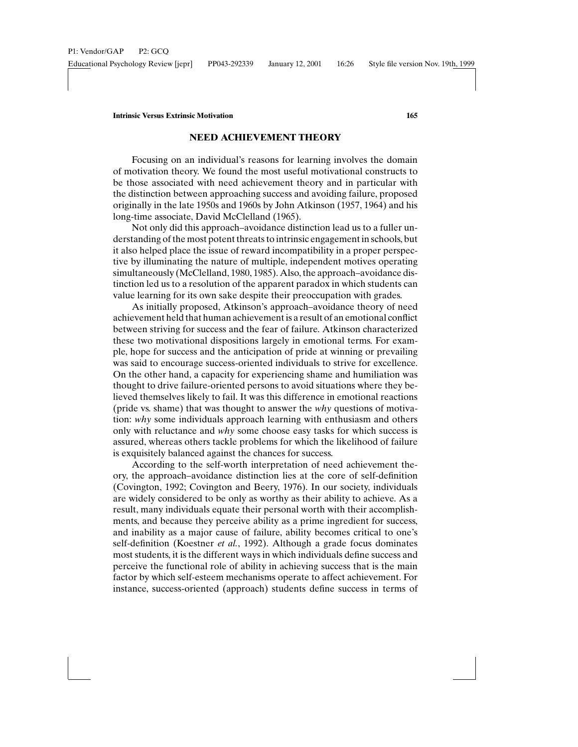### **NEED ACHIEVEMENT THEORY**

Focusing on an individual's reasons for learning involves the domain of motivation theory. We found the most useful motivational constructs to be those associated with need achievement theory and in particular with the distinction between approaching success and avoiding failure, proposed originally in the late 1950s and 1960s by John Atkinson (1957, 1964) and his long-time associate, David McClelland (1965).

Not only did this approach–avoidance distinction lead us to a fuller understanding of the most potent threats to intrinsic engagement in schools, but it also helped place the issue of reward incompatibility in a proper perspective by illuminating the nature of multiple, independent motives operating simultaneously (McClelland, 1980, 1985). Also, the approach–avoidance distinction led us to a resolution of the apparent paradox in which students can value learning for its own sake despite their preoccupation with grades.

As initially proposed, Atkinson's approach–avoidance theory of need achievement held that human achievement is a result of an emotional conflict between striving for success and the fear of failure. Atkinson characterized these two motivational dispositions largely in emotional terms. For example, hope for success and the anticipation of pride at winning or prevailing was said to encourage success-oriented individuals to strive for excellence. On the other hand, a capacity for experiencing shame and humiliation was thought to drive failure-oriented persons to avoid situations where they believed themselves likely to fail. It was this difference in emotional reactions (pride vs. shame) that was thought to answer the *why* questions of motivation: *why* some individuals approach learning with enthusiasm and others only with reluctance and *why* some choose easy tasks for which success is assured, whereas others tackle problems for which the likelihood of failure is exquisitely balanced against the chances for success.

According to the self-worth interpretation of need achievement theory, the approach–avoidance distinction lies at the core of self-definition (Covington, 1992; Covington and Beery, 1976). In our society, individuals are widely considered to be only as worthy as their ability to achieve. As a result, many individuals equate their personal worth with their accomplishments, and because they perceive ability as a prime ingredient for success, and inability as a major cause of failure, ability becomes critical to one's self-definition (Koestner *et al.*, 1992). Although a grade focus dominates most students, it is the different ways in which individuals define success and perceive the functional role of ability in achieving success that is the main factor by which self-esteem mechanisms operate to affect achievement. For instance, success-oriented (approach) students define success in terms of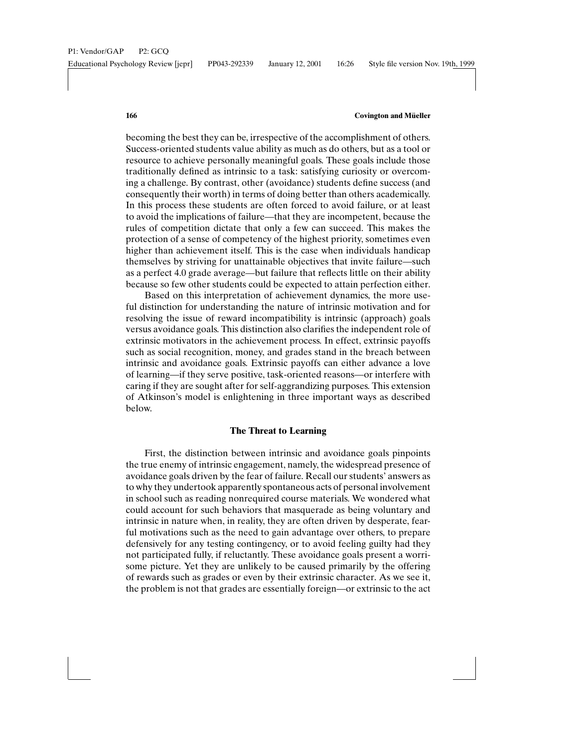becoming the best they can be, irrespective of the accomplishment of others. Success-oriented students value ability as much as do others, but as a tool or resource to achieve personally meaningful goals. These goals include those traditionally defined as intrinsic to a task: satisfying curiosity or overcoming a challenge. By contrast, other (avoidance) students define success (and consequently their worth) in terms of doing better than others academically. In this process these students are often forced to avoid failure, or at least to avoid the implications of failure—that they are incompetent, because the rules of competition dictate that only a few can succeed. This makes the protection of a sense of competency of the highest priority, sometimes even higher than achievement itself. This is the case when individuals handicap themselves by striving for unattainable objectives that invite failure—such as a perfect 4.0 grade average—but failure that reflects little on their ability because so few other students could be expected to attain perfection either.

Based on this interpretation of achievement dynamics, the more useful distinction for understanding the nature of intrinsic motivation and for resolving the issue of reward incompatibility is intrinsic (approach) goals versus avoidance goals. This distinction also clarifies the independent role of extrinsic motivators in the achievement process. In effect, extrinsic payoffs such as social recognition, money, and grades stand in the breach between intrinsic and avoidance goals. Extrinsic payoffs can either advance a love of learning—if they serve positive, task-oriented reasons—or interfere with caring if they are sought after for self-aggrandizing purposes. This extension of Atkinson's model is enlightening in three important ways as described below.

# **The Threat to Learning**

First, the distinction between intrinsic and avoidance goals pinpoints the true enemy of intrinsic engagement, namely, the widespread presence of avoidance goals driven by the fear of failure. Recall our students' answers as to why they undertook apparently spontaneous acts of personal involvement in school such as reading nonrequired course materials. We wondered what could account for such behaviors that masquerade as being voluntary and intrinsic in nature when, in reality, they are often driven by desperate, fearful motivations such as the need to gain advantage over others, to prepare defensively for any testing contingency, or to avoid feeling guilty had they not participated fully, if reluctantly. These avoidance goals present a worrisome picture. Yet they are unlikely to be caused primarily by the offering of rewards such as grades or even by their extrinsic character. As we see it, the problem is not that grades are essentially foreign—or extrinsic to the act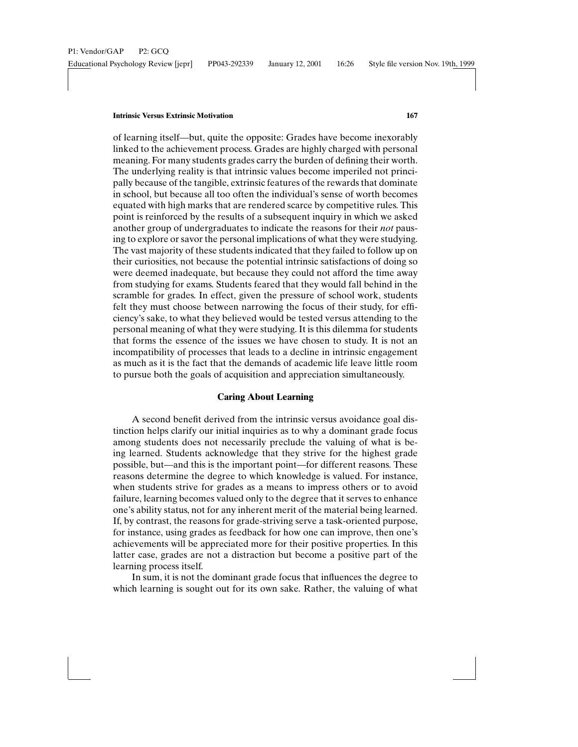of learning itself—but, quite the opposite: Grades have become inexorably linked to the achievement process. Grades are highly charged with personal meaning. For many students grades carry the burden of defining their worth. The underlying reality is that intrinsic values become imperiled not principally because of the tangible, extrinsic features of the rewards that dominate in school, but because all too often the individual's sense of worth becomes equated with high marks that are rendered scarce by competitive rules. This point is reinforced by the results of a subsequent inquiry in which we asked another group of undergraduates to indicate the reasons for their *not* pausing to explore or savor the personal implications of what they were studying. The vast majority of these students indicated that they failed to follow up on their curiosities, not because the potential intrinsic satisfactions of doing so were deemed inadequate, but because they could not afford the time away from studying for exams. Students feared that they would fall behind in the scramble for grades. In effect, given the pressure of school work, students felt they must choose between narrowing the focus of their study, for efficiency's sake, to what they believed would be tested versus attending to the personal meaning of what they were studying. It is this dilemma for students that forms the essence of the issues we have chosen to study. It is not an incompatibility of processes that leads to a decline in intrinsic engagement as much as it is the fact that the demands of academic life leave little room to pursue both the goals of acquisition and appreciation simultaneously.

# **Caring About Learning**

A second benefit derived from the intrinsic versus avoidance goal distinction helps clarify our initial inquiries as to why a dominant grade focus among students does not necessarily preclude the valuing of what is being learned. Students acknowledge that they strive for the highest grade possible, but—and this is the important point—for different reasons. These reasons determine the degree to which knowledge is valued. For instance, when students strive for grades as a means to impress others or to avoid failure, learning becomes valued only to the degree that it serves to enhance one's ability status, not for any inherent merit of the material being learned. If, by contrast, the reasons for grade-striving serve a task-oriented purpose, for instance, using grades as feedback for how one can improve, then one's achievements will be appreciated more for their positive properties. In this latter case, grades are not a distraction but become a positive part of the learning process itself.

In sum, it is not the dominant grade focus that influences the degree to which learning is sought out for its own sake. Rather, the valuing of what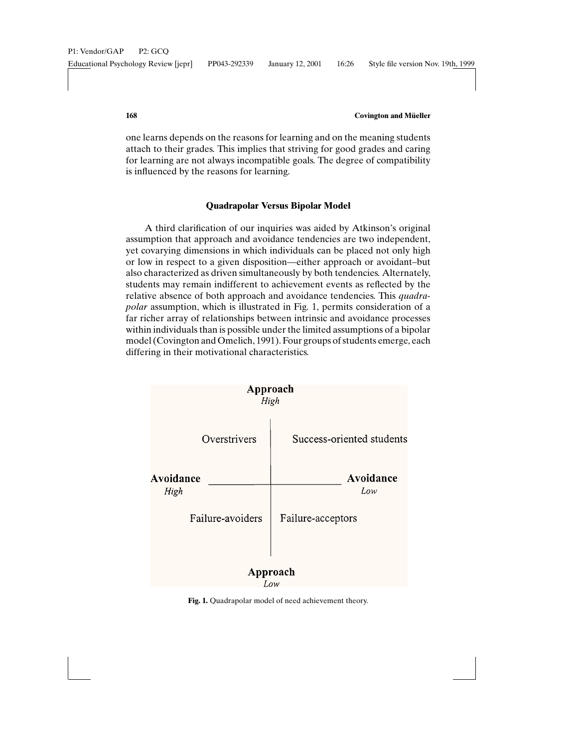one learns depends on the reasons for learning and on the meaning students attach to their grades. This implies that striving for good grades and caring for learning are not always incompatible goals. The degree of compatibility is influenced by the reasons for learning.

# **Quadrapolar Versus Bipolar Model**

A third clarification of our inquiries was aided by Atkinson's original assumption that approach and avoidance tendencies are two independent, yet covarying dimensions in which individuals can be placed not only high or low in respect to a given disposition—either approach or avoidant–but also characterized as driven simultaneously by both tendencies. Alternately, students may remain indifferent to achievement events as reflected by the relative absence of both approach and avoidance tendencies. This *quadrapolar* assumption, which is illustrated in Fig. 1, permits consideration of a far richer array of relationships between intrinsic and avoidance processes within individuals than is possible under the limited assumptions of a bipolar model (Covington and Omelich, 1991). Four groups of students emerge, each differing in their motivational characteristics.



Approach High

**Fig. 1.** Quadrapolar model of need achievement theory.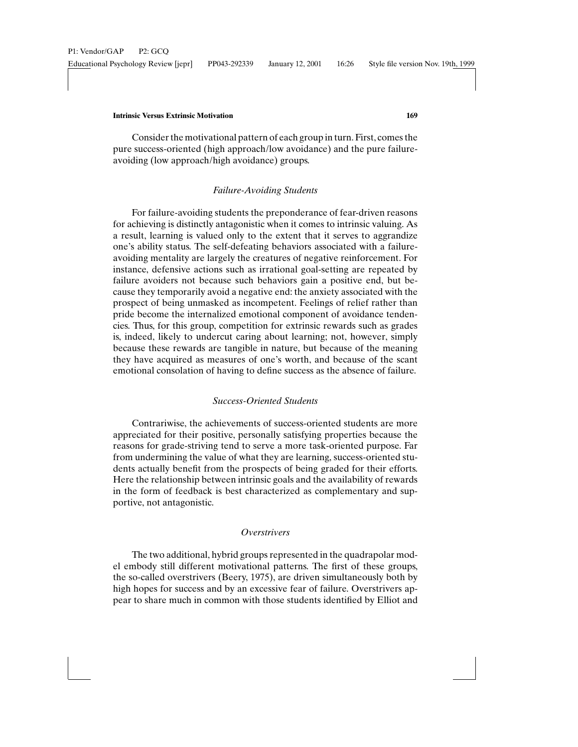Consider the motivational pattern of each group in turn. First, comes the pure success-oriented (high approach/low avoidance) and the pure failureavoiding (low approach/high avoidance) groups.

# *Failure-Avoiding Students*

For failure-avoiding students the preponderance of fear-driven reasons for achieving is distinctly antagonistic when it comes to intrinsic valuing. As a result, learning is valued only to the extent that it serves to aggrandize one's ability status. The self-defeating behaviors associated with a failureavoiding mentality are largely the creatures of negative reinforcement. For instance, defensive actions such as irrational goal-setting are repeated by failure avoiders not because such behaviors gain a positive end, but because they temporarily avoid a negative end: the anxiety associated with the prospect of being unmasked as incompetent. Feelings of relief rather than pride become the internalized emotional component of avoidance tendencies. Thus, for this group, competition for extrinsic rewards such as grades is, indeed, likely to undercut caring about learning; not, however, simply because these rewards are tangible in nature, but because of the meaning they have acquired as measures of one's worth, and because of the scant emotional consolation of having to define success as the absence of failure.

# *Success-Oriented Students*

Contrariwise, the achievements of success-oriented students are more appreciated for their positive, personally satisfying properties because the reasons for grade-striving tend to serve a more task-oriented purpose. Far from undermining the value of what they are learning, success-oriented students actually benefit from the prospects of being graded for their efforts. Here the relationship between intrinsic goals and the availability of rewards in the form of feedback is best characterized as complementary and supportive, not antagonistic.

# *Overstrivers*

The two additional, hybrid groups represented in the quadrapolar model embody still different motivational patterns. The first of these groups, the so-called overstrivers (Beery, 1975), are driven simultaneously both by high hopes for success and by an excessive fear of failure. Overstrivers appear to share much in common with those students identified by Elliot and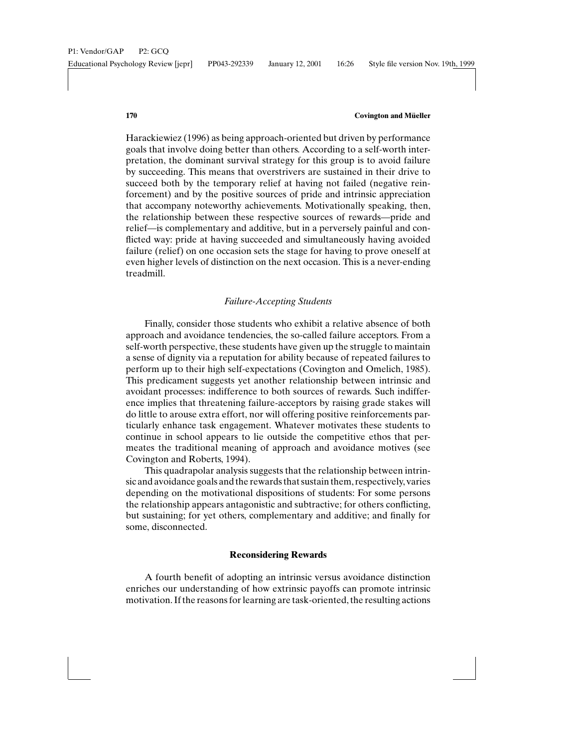Harackiewiez (1996) as being approach-oriented but driven by performance goals that involve doing better than others. According to a self-worth interpretation, the dominant survival strategy for this group is to avoid failure by succeeding. This means that overstrivers are sustained in their drive to succeed both by the temporary relief at having not failed (negative reinforcement) and by the positive sources of pride and intrinsic appreciation that accompany noteworthy achievements. Motivationally speaking, then, the relationship between these respective sources of rewards—pride and relief—is complementary and additive, but in a perversely painful and conflicted way: pride at having succeeded and simultaneously having avoided failure (relief) on one occasion sets the stage for having to prove oneself at even higher levels of distinction on the next occasion. This is a never-ending treadmill.

# *Failure-Accepting Students*

Finally, consider those students who exhibit a relative absence of both approach and avoidance tendencies, the so-called failure acceptors. From a self-worth perspective, these students have given up the struggle to maintain a sense of dignity via a reputation for ability because of repeated failures to perform up to their high self-expectations (Covington and Omelich, 1985). This predicament suggests yet another relationship between intrinsic and avoidant processes: indifference to both sources of rewards. Such indifference implies that threatening failure-acceptors by raising grade stakes will do little to arouse extra effort, nor will offering positive reinforcements particularly enhance task engagement. Whatever motivates these students to continue in school appears to lie outside the competitive ethos that permeates the traditional meaning of approach and avoidance motives (see Covington and Roberts, 1994).

This quadrapolar analysis suggests that the relationship between intrinsic and avoidance goals and the rewards that sustain them, respectively, varies depending on the motivational dispositions of students: For some persons the relationship appears antagonistic and subtractive; for others conflicting, but sustaining; for yet others, complementary and additive; and finally for some, disconnected.

### **Reconsidering Rewards**

A fourth benefit of adopting an intrinsic versus avoidance distinction enriches our understanding of how extrinsic payoffs can promote intrinsic motivation. If the reasons for learning are task-oriented, the resulting actions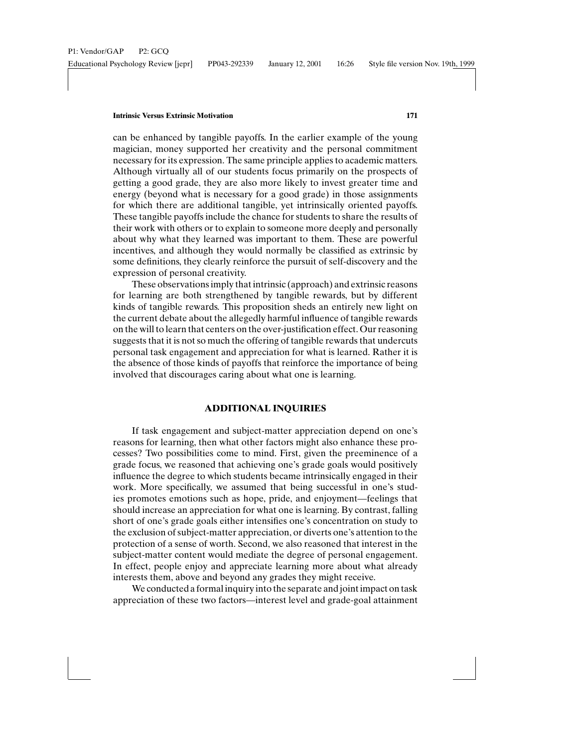can be enhanced by tangible payoffs. In the earlier example of the young magician, money supported her creativity and the personal commitment necessary for its expression. The same principle applies to academic matters. Although virtually all of our students focus primarily on the prospects of getting a good grade, they are also more likely to invest greater time and energy (beyond what is necessary for a good grade) in those assignments for which there are additional tangible, yet intrinsically oriented payoffs. These tangible payoffs include the chance for students to share the results of their work with others or to explain to someone more deeply and personally about why what they learned was important to them. These are powerful incentives, and although they would normally be classified as extrinsic by some definitions, they clearly reinforce the pursuit of self-discovery and the expression of personal creativity.

These observations imply that intrinsic (approach) and extrinsic reasons for learning are both strengthened by tangible rewards, but by different kinds of tangible rewards. This proposition sheds an entirely new light on the current debate about the allegedly harmful influence of tangible rewards on the will to learn that centers on the over-justification effect. Our reasoning suggests that it is not so much the offering of tangible rewards that undercuts personal task engagement and appreciation for what is learned. Rather it is the absence of those kinds of payoffs that reinforce the importance of being involved that discourages caring about what one is learning.

### **ADDITIONAL INQUIRIES**

If task engagement and subject-matter appreciation depend on one's reasons for learning, then what other factors might also enhance these processes? Two possibilities come to mind. First, given the preeminence of a grade focus, we reasoned that achieving one's grade goals would positively influence the degree to which students became intrinsically engaged in their work. More specifically, we assumed that being successful in one's studies promotes emotions such as hope, pride, and enjoyment—feelings that should increase an appreciation for what one is learning. By contrast, falling short of one's grade goals either intensifies one's concentration on study to the exclusion of subject-matter appreciation, or diverts one's attention to the protection of a sense of worth. Second, we also reasoned that interest in the subject-matter content would mediate the degree of personal engagement. In effect, people enjoy and appreciate learning more about what already interests them, above and beyond any grades they might receive.

We conducted a formal inquiry into the separate and joint impact on task appreciation of these two factors—interest level and grade-goal attainment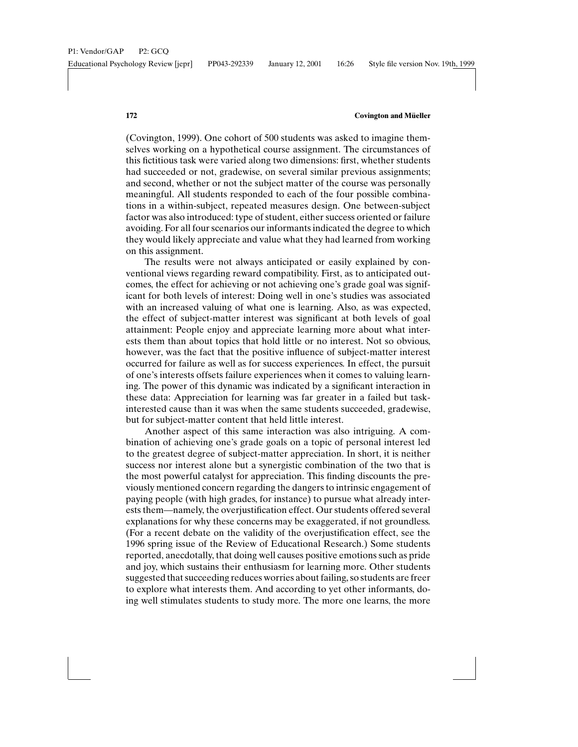(Covington, 1999). One cohort of 500 students was asked to imagine themselves working on a hypothetical course assignment. The circumstances of this fictitious task were varied along two dimensions: first, whether students had succeeded or not, gradewise, on several similar previous assignments; and second, whether or not the subject matter of the course was personally meaningful. All students responded to each of the four possible combinations in a within-subject, repeated measures design. One between-subject factor was also introduced: type of student, either success oriented or failure avoiding. For all four scenarios our informants indicated the degree to which they would likely appreciate and value what they had learned from working on this assignment.

The results were not always anticipated or easily explained by conventional views regarding reward compatibility. First, as to anticipated outcomes, the effect for achieving or not achieving one's grade goal was significant for both levels of interest: Doing well in one's studies was associated with an increased valuing of what one is learning. Also, as was expected, the effect of subject-matter interest was significant at both levels of goal attainment: People enjoy and appreciate learning more about what interests them than about topics that hold little or no interest. Not so obvious, however, was the fact that the positive influence of subject-matter interest occurred for failure as well as for success experiences. In effect, the pursuit of one's interests offsets failure experiences when it comes to valuing learning. The power of this dynamic was indicated by a significant interaction in these data: Appreciation for learning was far greater in a failed but taskinterested cause than it was when the same students succeeded, gradewise, but for subject-matter content that held little interest.

Another aspect of this same interaction was also intriguing. A combination of achieving one's grade goals on a topic of personal interest led to the greatest degree of subject-matter appreciation. In short, it is neither success nor interest alone but a synergistic combination of the two that is the most powerful catalyst for appreciation. This finding discounts the previously mentioned concern regarding the dangers to intrinsic engagement of paying people (with high grades, for instance) to pursue what already interests them—namely, the overjustification effect. Our students offered several explanations for why these concerns may be exaggerated, if not groundless. (For a recent debate on the validity of the overjustification effect, see the 1996 spring issue of the Review of Educational Research.) Some students reported, anecdotally, that doing well causes positive emotions such as pride and joy, which sustains their enthusiasm for learning more. Other students suggested that succeeding reduces worries about failing, so students are freer to explore what interests them. And according to yet other informants, doing well stimulates students to study more. The more one learns, the more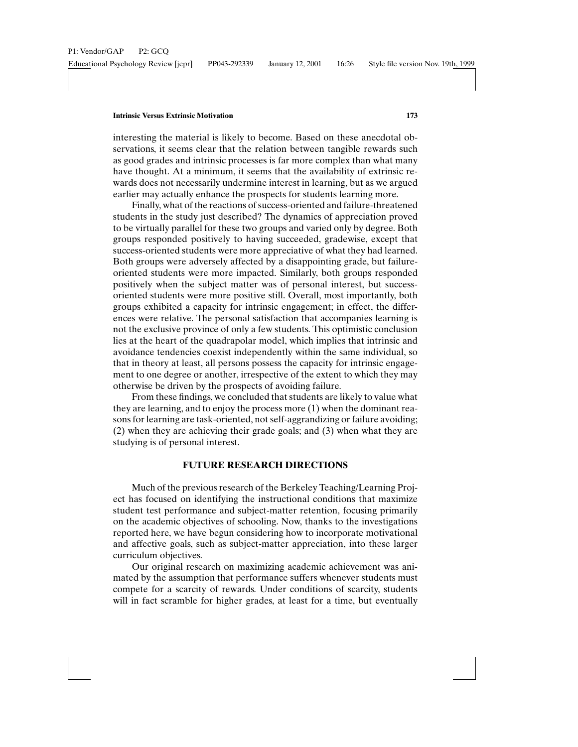interesting the material is likely to become. Based on these anecdotal observations, it seems clear that the relation between tangible rewards such as good grades and intrinsic processes is far more complex than what many have thought. At a minimum, it seems that the availability of extrinsic rewards does not necessarily undermine interest in learning, but as we argued earlier may actually enhance the prospects for students learning more.

Finally, what of the reactions of success-oriented and failure-threatened students in the study just described? The dynamics of appreciation proved to be virtually parallel for these two groups and varied only by degree. Both groups responded positively to having succeeded, gradewise, except that success-oriented students were more appreciative of what they had learned. Both groups were adversely affected by a disappointing grade, but failureoriented students were more impacted. Similarly, both groups responded positively when the subject matter was of personal interest, but successoriented students were more positive still. Overall, most importantly, both groups exhibited a capacity for intrinsic engagement; in effect, the differences were relative. The personal satisfaction that accompanies learning is not the exclusive province of only a few students. This optimistic conclusion lies at the heart of the quadrapolar model, which implies that intrinsic and avoidance tendencies coexist independently within the same individual, so that in theory at least, all persons possess the capacity for intrinsic engagement to one degree or another, irrespective of the extent to which they may otherwise be driven by the prospects of avoiding failure.

From these findings, we concluded that students are likely to value what they are learning, and to enjoy the process more (1) when the dominant reasons for learning are task-oriented, not self-aggrandizing or failure avoiding; (2) when they are achieving their grade goals; and (3) when what they are studying is of personal interest.

# **FUTURE RESEARCH DIRECTIONS**

Much of the previous research of the Berkeley Teaching/Learning Project has focused on identifying the instructional conditions that maximize student test performance and subject-matter retention, focusing primarily on the academic objectives of schooling. Now, thanks to the investigations reported here, we have begun considering how to incorporate motivational and affective goals, such as subject-matter appreciation, into these larger curriculum objectives.

Our original research on maximizing academic achievement was animated by the assumption that performance suffers whenever students must compete for a scarcity of rewards. Under conditions of scarcity, students will in fact scramble for higher grades, at least for a time, but eventually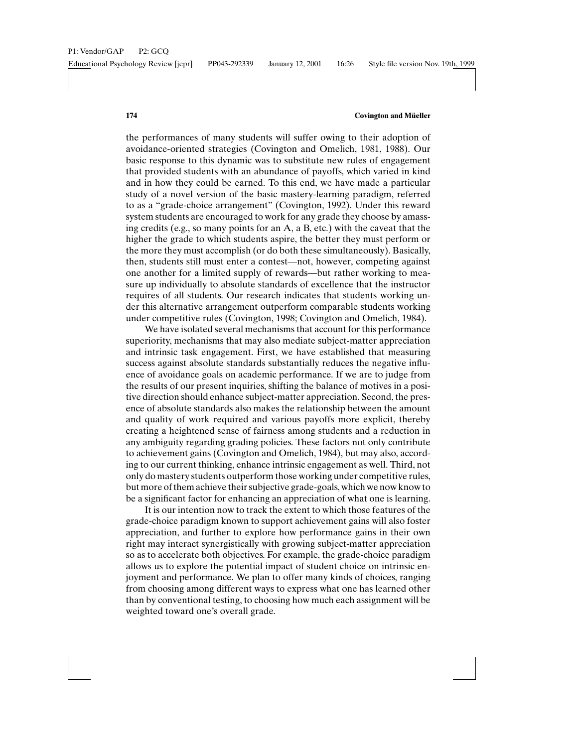the performances of many students will suffer owing to their adoption of avoidance-oriented strategies (Covington and Omelich, 1981, 1988). Our basic response to this dynamic was to substitute new rules of engagement that provided students with an abundance of payoffs, which varied in kind and in how they could be earned. To this end, we have made a particular study of a novel version of the basic mastery-learning paradigm, referred to as a "grade-choice arrangement" (Covington, 1992). Under this reward system students are encouraged to work for any grade they choose by amassing credits (e.g., so many points for an A, a B, etc.) with the caveat that the higher the grade to which students aspire, the better they must perform or the more they must accomplish (or do both these simultaneously). Basically, then, students still must enter a contest—not, however, competing against one another for a limited supply of rewards—but rather working to measure up individually to absolute standards of excellence that the instructor requires of all students. Our research indicates that students working under this alternative arrangement outperform comparable students working under competitive rules (Covington, 1998; Covington and Omelich, 1984).

We have isolated several mechanisms that account for this performance superiority, mechanisms that may also mediate subject-matter appreciation and intrinsic task engagement. First, we have established that measuring success against absolute standards substantially reduces the negative influence of avoidance goals on academic performance. If we are to judge from the results of our present inquiries, shifting the balance of motives in a positive direction should enhance subject-matter appreciation. Second, the presence of absolute standards also makes the relationship between the amount and quality of work required and various payoffs more explicit, thereby creating a heightened sense of fairness among students and a reduction in any ambiguity regarding grading policies. These factors not only contribute to achievement gains (Covington and Omelich, 1984), but may also, according to our current thinking, enhance intrinsic engagement as well. Third, not only do mastery students outperform those working under competitive rules, but more of them achieve their subjective grade-goals, which we now know to be a significant factor for enhancing an appreciation of what one is learning.

It is our intention now to track the extent to which those features of the grade-choice paradigm known to support achievement gains will also foster appreciation, and further to explore how performance gains in their own right may interact synergistically with growing subject-matter appreciation so as to accelerate both objectives. For example, the grade-choice paradigm allows us to explore the potential impact of student choice on intrinsic enjoyment and performance. We plan to offer many kinds of choices, ranging from choosing among different ways to express what one has learned other than by conventional testing, to choosing how much each assignment will be weighted toward one's overall grade.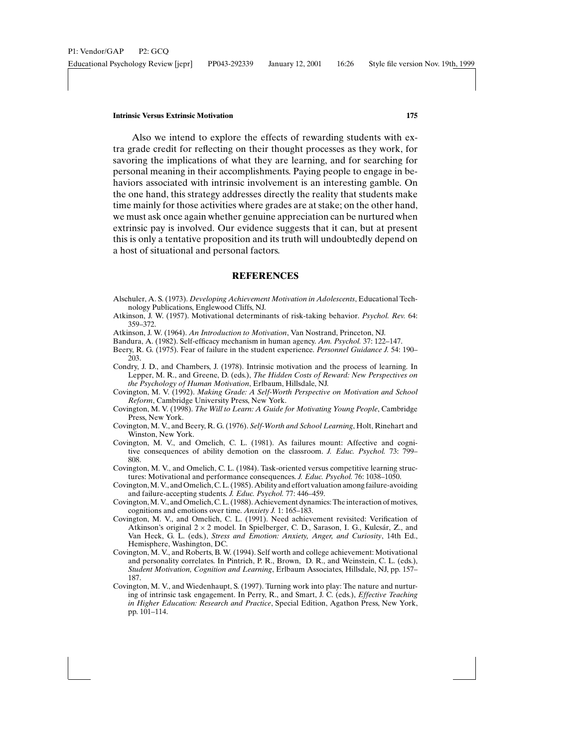Also we intend to explore the effects of rewarding students with extra grade credit for reflecting on their thought processes as they work, for savoring the implications of what they are learning, and for searching for personal meaning in their accomplishments. Paying people to engage in behaviors associated with intrinsic involvement is an interesting gamble. On the one hand, this strategy addresses directly the reality that students make time mainly for those activities where grades are at stake; on the other hand, we must ask once again whether genuine appreciation can be nurtured when extrinsic pay is involved. Our evidence suggests that it can, but at present this is only a tentative proposition and its truth will undoubtedly depend on a host of situational and personal factors.

### **REFERENCES**

- Alschuler, A. S. (1973). *Developing Achievement Motivation in Adolescents*, Educational Technology Publications, Englewood Cliffs, NJ.
- Atkinson, J. W. (1957). Motivational determinants of risk-taking behavior. *Psychol. Rev.* 64: 359–372.
- Atkinson, J. W. (1964). *An Introduction to Motivation*, Van Nostrand, Princeton, NJ.
- Bandura, A. (1982). Self-efficacy mechanism in human agency. *Am. Psychol.* 37: 122–147.
- Beery, R. G. (1975). Fear of failure in the student experience. *Personnel Guidance J.* 54: 190– 203.
- Condry, J. D., and Chambers, J. (1978). Intrinsic motivation and the process of learning. In Lepper, M. R., and Greene, D. (eds.), *The Hidden Costs of Reward: New Perspectives on the Psychology of Human Motivation*, Erlbaum, Hillsdale, NJ.
- Covington, M. V. (1992). *Making Grade: A Self-Worth Perspective on Motivation and School Reform*, Cambridge University Press, New York.
- Covington, M. V. (1998). *The Will to Learn: A Guide for Motivating Young People*, Cambridge Press, New York.
- Covington, M. V., and Beery, R. G. (1976). *Self-Worth and School Learning*, Holt, Rinehart and Winston, New York.
- Covington, M. V., and Omelich, C. L. (1981). As failures mount: Affective and cognitive consequences of ability demotion on the classroom. *J. Educ. Psychol.* 73: 799– 808.
- Covington, M. V., and Omelich, C. L. (1984). Task-oriented versus competitive learning structures: Motivational and performance consequences. *J. Educ. Psychol.* 76: 1038–1050.
- Covington, M. V., and Omelich, C. L. (1985). Ability and effort valuation among failure-avoiding and failure-accepting students. *J. Educ. Psychol.* 77: 446–459.
- Covington, M. V., and Omelich, C. L. (1988). Achievement dynamics: The interaction of motives, cognitions and emotions over time. *Anxiety J.* 1: 165–183.
- Covington, M. V., and Omelich, C. L. (1991). Need achievement revisited: Verification of Atkinson's original  $2 \times 2$  model. In Spielberger, C. D., Sarason, I. G., Kulcsár, Z., and Van Heck, G. L. (eds.), *Stress and Emotion: Anxiety, Anger, and Curiosity*, 14th Ed., Hemisphere, Washington, DC.
- Covington, M. V., and Roberts, B. W. (1994). Self worth and college achievement: Motivational and personality correlates. In Pintrich, P. R., Brown, D. R., and Weinstein, C. L. (eds.), *Student Motivation, Cognition and Learning*, Erlbaum Associates, Hillsdale, NJ, pp. 157– 187.
- Covington, M. V., and Wiedenhaupt, S. (1997). Turning work into play: The nature and nurturing of intrinsic task engagement. In Perry, R., and Smart, J. C. (eds.), *Effective Teaching in Higher Education: Research and Practice*, Special Edition, Agathon Press, New York, pp. 101–114.